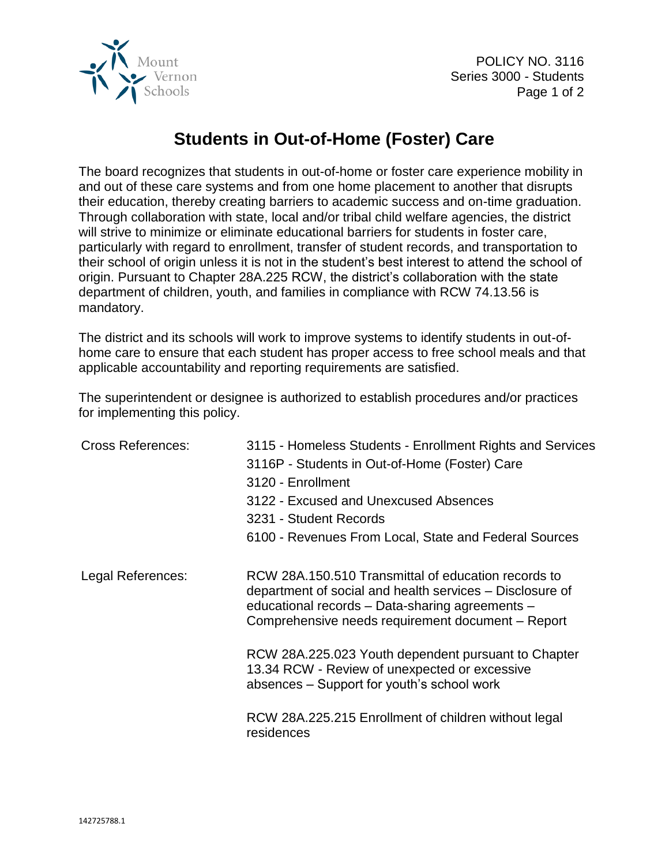

## **Students in Out-of-Home (Foster) Care**

The board recognizes that students in out-of-home or foster care experience mobility in and out of these care systems and from one home placement to another that disrupts their education, thereby creating barriers to academic success and on-time graduation. Through collaboration with state, local and/or tribal child welfare agencies, the district will strive to minimize or eliminate educational barriers for students in foster care, particularly with regard to enrollment, transfer of student records, and transportation to their school of origin unless it is not in the student's best interest to attend the school of origin. Pursuant to Chapter 28A.225 RCW, the district's collaboration with the state department of children, youth, and families in compliance with RCW 74.13.56 is mandatory.

The district and its schools will work to improve systems to identify students in out-ofhome care to ensure that each student has proper access to free school meals and that applicable accountability and reporting requirements are satisfied.

The superintendent or designee is authorized to establish procedures and/or practices for implementing this policy.

| <b>Cross References:</b> | 3115 - Homeless Students - Enrollment Rights and Services<br>3116P - Students in Out-of-Home (Foster) Care<br>3120 - Enrollment<br>3122 - Excused and Unexcused Absences<br>3231 - Student Records<br>6100 - Revenues From Local, State and Federal Sources |
|--------------------------|-------------------------------------------------------------------------------------------------------------------------------------------------------------------------------------------------------------------------------------------------------------|
| Legal References:        | RCW 28A.150.510 Transmittal of education records to<br>department of social and health services – Disclosure of<br>educational records - Data-sharing agreements -<br>Comprehensive needs requirement document - Report                                     |
|                          | RCW 28A.225.023 Youth dependent pursuant to Chapter<br>13.34 RCW - Review of unexpected or excessive<br>absences – Support for youth's school work                                                                                                          |
|                          | RCW 28A.225.215 Enrollment of children without legal<br>residences                                                                                                                                                                                          |